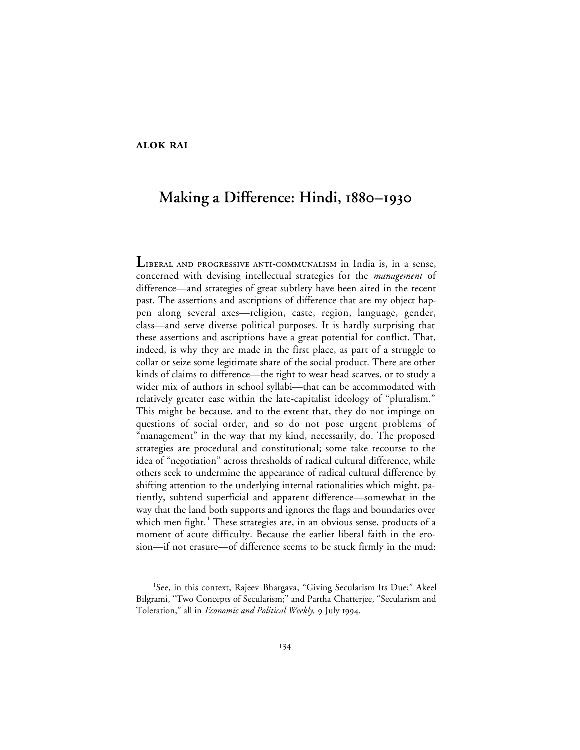# **ALOK RAI**

# **Making a Difference: Hindi**,  $1880 - 1930$

LIBERAL AND PROGRESSIVE ANTI-COMMUNALISM in India is, in a sense, concerned with devising intellectual strategies for the *management* of difference—and strategies of great subtlety have been aired in the recent past. The assertions and ascriptions of difference that are my object happen along several axes—religion, caste, region, language, gender, class—and serve diverse political purposes. It is hardly surprising that these assertions and ascriptions have a great potential for conflict. That, indeed, is why they are made in the first place, as part of a struggle to collar or seize some legitimate share of the social product. There are other kinds of claims to difference—the right to wear head scarves, or to study a wider mix of authors in school syllabi—that can be accommodated with relatively greater ease within the late-capitalist ideology of "pluralism." This might be because, and to the extent that, they do not impinge on questions of social order, and so do not pose urgent problems of "management" in the way that my kind, necessarily, do. The proposed strategies are procedural and constitutional; some take recourse to the idea of "negotiation" across thresholds of radical cultural difference, while others seek to undermine the appearance of radical cultural difference by shifting attention to the underlying internal rationalities which might, patiently, subtend superficial and apparent difference—somewhat in the way that the land both supports and ignores the flags and boundaries over which men fight.<sup>1</sup> These strategies are, in an obvious sense, products of a moment of acute difficulty. Because the earlier liberal faith in the erosion—if not erasure—of difference seems to be stuck firmly in the mud:

 $\overline{\phantom{a}}$ <sup>1</sup>See, in this context, Rajeev Bhargava, "Giving Secularism Its Due;" Akeel Bilgrami, "Two Concepts of Secularism;" and Partha Chatterjee, "Secularism and Toleration," all in *Economic and Political Weekly*, 9 July 1994.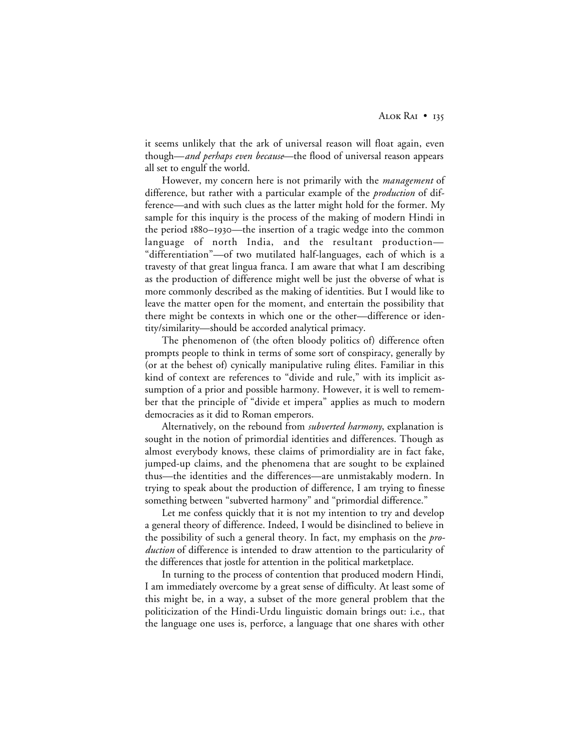it seems unlikely that the ark of universal reason will float again, even though—*and perhaps even because*—the flood of universal reason appears all set to engulf the world.

However, my concern here is not primarily with the *management* of difference, but rather with a particular example of the *production* of difference—and with such clues as the latter might hold for the former. My sample for this inquiry is the process of the making of modern Hindi in the period 1880–1930—the insertion of a tragic wedge into the common language of north India, and the resultant production— "differentiation"—of two mutilated half-languages, each of which is a travesty of that great lingua franca. I am aware that what I am describing as the production of difference might well be just the obverse of what is more commonly described as the making of identities. But I would like to leave the matter open for the moment, and entertain the possibility that there might be contexts in which one or the other—difference or identity/similarity—should be accorded analytical primacy.

The phenomenon of (the often bloody politics of) difference often prompts people to think in terms of some sort of conspiracy, generally by (or at the behest of) cynically manipulative ruling élites. Familiar in this kind of context are references to "divide and rule," with its implicit assumption of a prior and possible harmony. However, it is well to remember that the principle of "divide et impera" applies as much to modern democracies as it did to Roman emperors.

Alternatively, on the rebound from *subverted harmony*, explanation is sought in the notion of primordial identities and differences. Though as almost everybody knows, these claims of primordiality are in fact fake, jumped-up claims, and the phenomena that are sought to be explained thus—the identities and the differences—are unmistakably modern. In trying to speak about the production of difference, I am trying to finesse something between "subverted harmony" and "primordial difference."

Let me confess quickly that it is not my intention to try and develop a general theory of difference. Indeed, I would be disinclined to believe in the possibility of such a general theory. In fact, my emphasis on the *production* of difference is intended to draw attention to the particularity of the differences that jostle for attention in the political marketplace.

In turning to the process of contention that produced modern Hindi, I am immediately overcome by a great sense of difficulty. At least some of this might be, in a way, a subset of the more general problem that the politicization of the Hindi-Urdu linguistic domain brings out: i.e., that the language one uses is, perforce, a language that one shares with other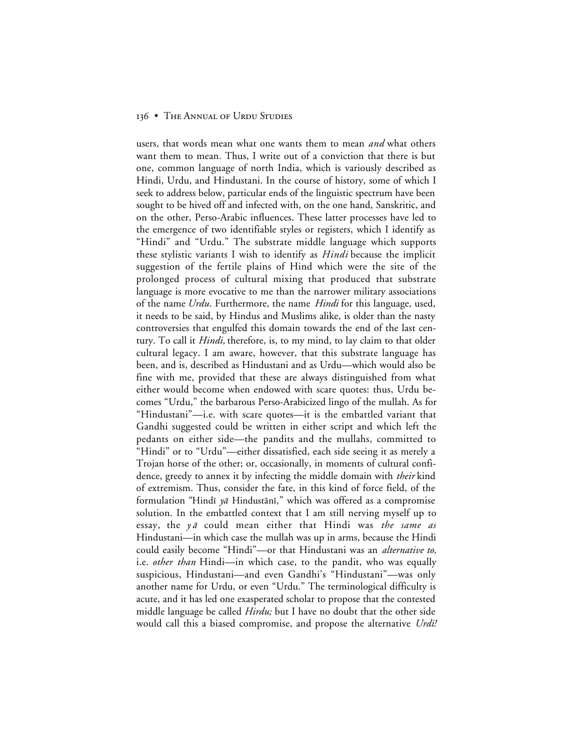users, that words mean what one wants them to mean *and* what others want them to mean. Thus, I write out of a conviction that there is but one, common language of north India, which is variously described as Hindi, Urdu, and Hindustani. In the course of history, some of which I seek to address below, particular ends of the linguistic spectrum have been sought to be hived off and infected with, on the one hand, Sanskritic, and on the other, Perso-Arabic influences. These latter processes have led to the emergence of two identifiable styles or registers, which I identify as "Hindi" and "Urdu." The substrate middle language which supports these stylistic variants I wish to identify as *Hindi* because the implicit suggestion of the fertile plains of Hind which were the site of the prolonged process of cultural mixing that produced that substrate language is more evocative to me than the narrower military associations of the name *Urdu*. Furthermore, the name *Hindi* for this language, used, it needs to be said, by Hindus and Muslims alike, is older than the nasty controversies that engulfed this domain towards the end of the last century. To call it *Hindi,* therefore, is, to my mind, to lay claim to that older cultural legacy. I am aware, however, that this substrate language has been, and is, described as Hindustani and as Urdu—which would also be fine with me, provided that these are always distinguished from what either would become when endowed with scare quotes: thus, Urdu becomes "Urdu," the barbarous Perso-Arabicized lingo of the mullah. As for "Hindustani"—i.e. with scare quotes—it is the embattled variant that Gandhi suggested could be written in either script and which left the pedants on either side—the pandits and the mullahs, committed to "Hindi" or to "Urdu"—either dissatisfied, each side seeing it as merely a Trojan horse of the other; or, occasionally, in moments of cultural confidence, greedy to annex it by infecting the middle domain with *their* kind of extremism. Thus, consider the fate, in this kind of force field, of the formulation "Hindī  $y\bar{a}$  Hindustānī," which was offered as a compromise solution. In the embattled context that I am still nerving myself up to essay, the y a could mean either that Hindi was *the same as* Hindustani—in which case the mullah was up in arms, because the Hindi could easily become "Hindi"—or that Hindustani was an *alternative to,* i.e. *other than* Hindi—in which case, to the pandit, who was equally suspicious, Hindustani—and even Gandhi's "Hindustani"—was only another name for Urdu, or even "Urdu." The terminological difficulty is acute, and it has led one exasperated scholar to propose that the contested middle language be called *Hirdu;* but I have no doubt that the other side would call this a biased compromise, and propose the alternative *Urdi!*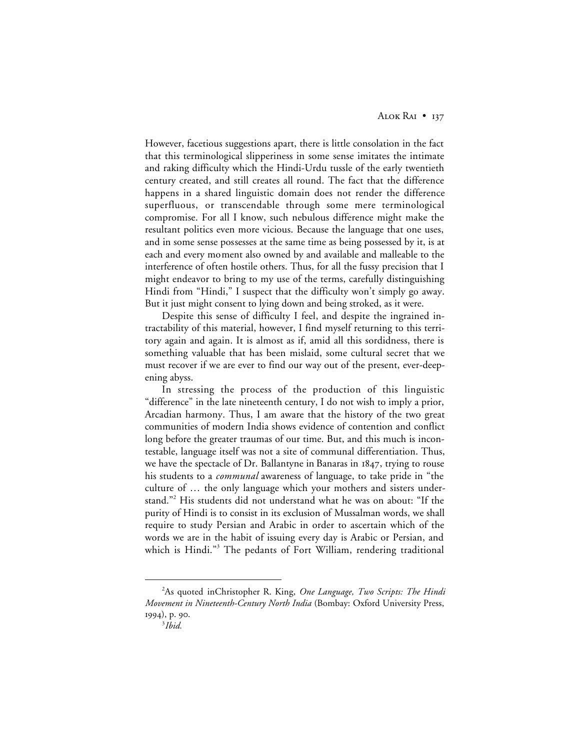However, facetious suggestions apart, there is little consolation in the fact that this terminological slipperiness in some sense imitates the intimate and raking difficulty which the Hindi-Urdu tussle of the early twentieth century created, and still creates all round. The fact that the difference happens in a shared linguistic domain does not render the difference superfluous, or transcendable through some mere terminological compromise. For all I know, such nebulous difference might make the resultant politics even more vicious. Because the language that one uses, and in some sense possesses at the same time as being possessed by it, is at each and every moment also owned by and available and malleable to the interference of often hostile others. Thus, for all the fussy precision that I might endeavor to bring to my use of the terms, carefully distinguishing Hindi from "Hindi," I suspect that the difficulty won't simply go away. But it just might consent to lying down and being stroked, as it were.

Despite this sense of difficulty I feel, and despite the ingrained intractability of this material, however, I find myself returning to this territory again and again. It is almost as if, amid all this sordidness, there is something valuable that has been mislaid, some cultural secret that we must recover if we are ever to find our way out of the present, ever-deepening abyss.

In stressing the process of the production of this linguistic "difference" in the late nineteenth century, I do not wish to imply a prior, Arcadian harmony. Thus, I am aware that the history of the two great communities of modern India shows evidence of contention and conflict long before the greater traumas of our time. But, and this much is incontestable, language itself was not a site of communal differentiation. Thus, we have the spectacle of Dr. Ballantyne in Banaras in  $1847$ , trying to rouse his students to a *communal* awareness of language, to take pride in "the culture of … the only language which your mothers and sisters understand."<sup>2</sup> His students did not understand what he was on about: "If the purity of Hindi is to consist in its exclusion of Mussalman words, we shall require to study Persian and Arabic in order to ascertain which of the words we are in the habit of issuing every day is Arabic or Persian, and which is Hindi."<sup>3</sup> The pedants of Fort William, rendering traditional

 $\overline{a}$ As quoted inChristopher R. King, *One Language, Two Scripts: The Hindi Movement in Nineteenth-Century North India* (Bombay: Oxford University Press, 1994), p. 90.

<sup>3</sup> *Ibid.*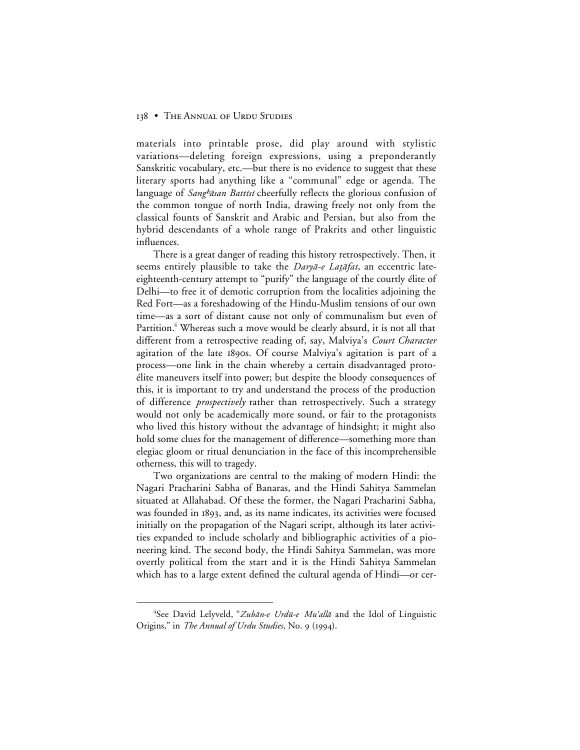materials into printable prose, did play around with stylistic variations—deleting foreign expressions, using a preponderantly Sanskritic vocabulary, etc.—but there is no evidence to suggest that these literary sports had anything like a "communal" edge or agenda. The language of Sang<sup>h</sup>āsan Battīsī cheerfully reflects the glorious confusion of the common tongue of north India, drawing freely not only from the classical founts of Sanskrit and Arabic and Persian, but also from the hybrid descendants of a whole range of Prakrits and other linguistic influences.

There is a great danger of reading this history retrospectively. Then, it seems entirely plausible to take the Daryā-e Latāfat, an eccentric lateeighteenth-century attempt to "purify" the language of the courtly élite of Delhi—to free it of demotic corruption from the localities adjoining the Red Fort—as a foreshadowing of the Hindu-Muslim tensions of our own time—as a sort of distant cause not only of communalism but even of Partition.<sup>4</sup> Whereas such a move would be clearly absurd, it is not all that different from a retrospective reading of, say, Malviya's *Court Character* agitation of the late 1890s. Of course Malviya's agitation is part of a process—one link in the chain whereby a certain disadvantaged protoélite maneuvers itself into power; but despite the bloody consequences of this, it is important to try and understand the process of the production of difference *prospectively* rather than retrospectively. Such a strategy would not only be academically more sound, or fair to the protagonists who lived this history without the advantage of hindsight; it might also hold some clues for the management of difference—something more than elegiac gloom or ritual denunciation in the face of this incomprehensible otherness, this will to tragedy.

Two organizations are central to the making of modern Hindi: the Nagari Pracharini Sabha of Banaras, and the Hindi Sahitya Sammelan situated at Allahabad. Of these the former, the Nagari Pracharini Sabha, was founded in 1893, and, as its name indicates, its activities were focused initially on the propagation of the Nagari script, although its later activities expanded to include scholarly and bibliographic activities of a pioneering kind. The second body, the Hindi Sahitya Sammelan, was more overtly political from the start and it is the Hindi Sahitya Sammelan which has to a large extent defined the cultural agenda of Hindi—or cer-

 $\overline{4}$ <sup>4</sup>See David Lelyveld, "Zubān-e Urdū-e Mu'allā and the Idol of Linguistic Origins," in *The Annual of Urdu Studies*, No. 9 (1994).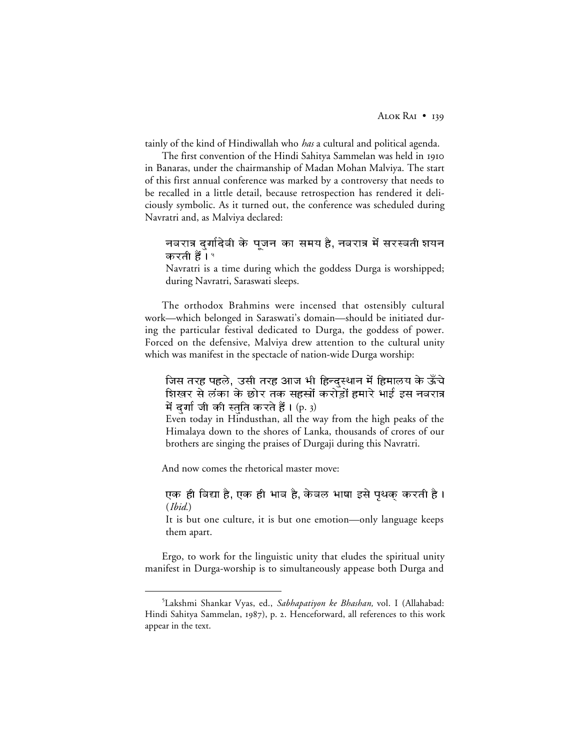tainly of the kind of Hindiwallah who *has* a cultural and political agenda.

The first convention of the Hindi Sahitya Sammelan was held in in Banaras, under the chairmanship of Madan Mohan Malviya. The start of this first annual conference was marked by a controversy that needs to be recalled in a little detail, because retrospection has rendered it deliciously symbolic. As it turned out, the conference was scheduled during Navratri and, as Malviya declared:

नवरात्र दर्गादेवी के पंजन का समय है. नवरात्र में सरस्वती शयन करती हैं। '

Navratri is a time during which the goddess Durga is worshipped; during Navratri, Saraswati sleeps.

The orthodox Brahmins were incensed that ostensibly cultural work—which belonged in Saraswati's domain—should be initiated during the particular festival dedicated to Durga, the goddess of power. Forced on the defensive, Malviya drew attention to the cultural unity which was manifest in the spectacle of nation-wide Durga worship:

जिस तरह पहले, उसी तरह आज भी हिन्दस्थान में हिमालय के ऊँचे शिखर से लंका के छोर तक सहस्रों करोड़ों हमारे भाई इस नवरात्र में दर्गा जी की स्तति करते हैं।  $(p, 3)$ 

Even today in Hindusthan, all the way from the high peaks of the Himalaya down to the shores of Lanka, thousands of crores of our brothers are singing the praises of Durgaji during this Navratri.

And now comes the rhetorical master move:

एक ही विद्या है, एक ही भाव है, केवल भाषा इसे पृथक् करती है। (*Ibid.*)

It is but one culture, it is but one emotion—only language keeps them apart.

Ergo, to work for the linguistic unity that eludes the spiritual unity manifest in Durga-worship is to simultaneously appease both Durga and

 $rac{1}{5}$ Lakshmi Shankar Vyas, ed., *Sabhapatiyon ke Bhashan,* vol. I (Allahabad: Hindi Sahitya Sammelan, 1987), p. 2. Henceforward, all references to this work appear in the text.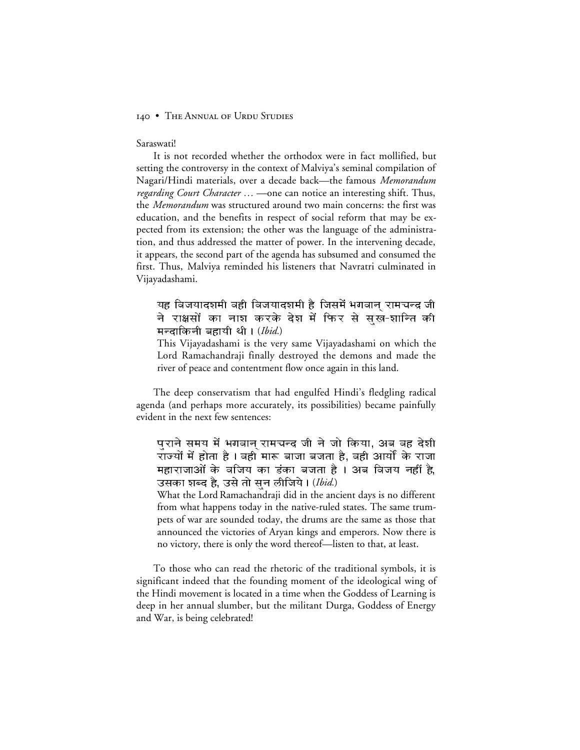#### Saraswati!

It is not recorded whether the orthodox were in fact mollified, but setting the controversy in the context of Malviya's seminal compilation of Nagari/Hindi materials, over a decade back—the famous *Memorandum regarding Court Character …* —one can notice an interesting shift. Thus, the *Memorandum* was structured around two main concerns: the first was education, and the benefits in respect of social reform that may be expected from its extension; the other was the language of the administration, and thus addressed the matter of power. In the intervening decade, it appears, the second part of the agenda has subsumed and consumed the first. Thus, Malviya reminded his listeners that Navratri culminated in Vijayadashami.

यह विजयादशमी वही विजयादशमी है जिसमें भगवान रामचन्द्र जी ने राक्षसों का नाश करके देश में फिर से सख-शान्ति की मन्दाकिनी बहायी थी । (*Ibid*.)

This Vijayadashami is the very same Vijayadashami on which the Lord Ramachandraji finally destroyed the demons and made the river of peace and contentment flow once again in this land.

The deep conservatism that had engulfed Hindi's fledgling radical agenda (and perhaps more accurately, its possibilities) became painfully evident in the next few sentences:

पुराने समय में भगवान् रामचन्द्र जी ने जो किया, अब वह देशी राँज्यों में होता है । वही<sup>`</sup>मारू बाजा बजता है, वही आर्यों के राजा महाराजाओं के वजिय का डंका बजता है । अब विजय नहीं <u>है</u> उसका शब्द है, उसे तो सन लीजिये। (Ibid.)

What the Lord Ramachandraji did in the ancient days is no different from what happens today in the native-ruled states. The same trumpets of war are sounded today, the drums are the same as those that announced the victories of Aryan kings and emperors. Now there is no victory, there is only the word thereof—listen to that, at least.

To those who can read the rhetoric of the traditional symbols, it is significant indeed that the founding moment of the ideological wing of the Hindi movement is located in a time when the Goddess of Learning is deep in her annual slumber, but the militant Durga, Goddess of Energy and War, is being celebrated!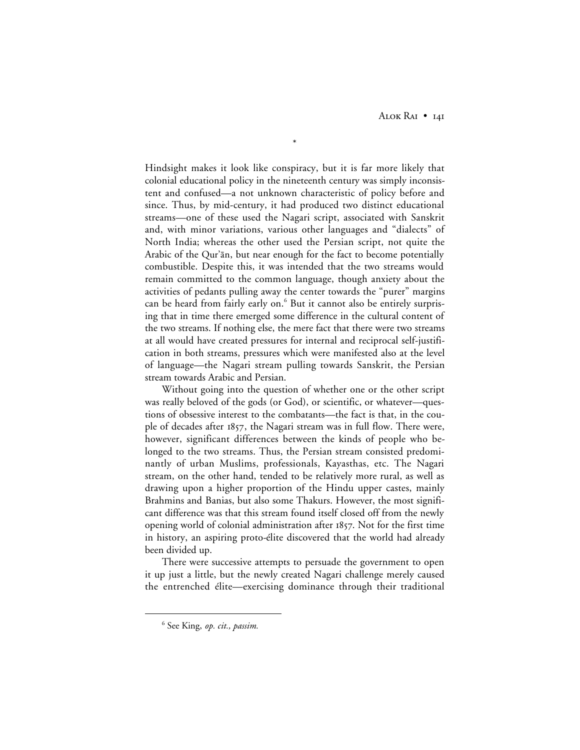ALOK RAI • 14I

Hindsight makes it look like conspiracy, but it is far more likely that colonial educational policy in the nineteenth century was simply inconsistent and confused—a not unknown characteristic of policy before and since. Thus, by mid-century, it had produced two distinct educational streams—one of these used the Nagari script, associated with Sanskrit and, with minor variations, various other languages and "dialects" of North India; whereas the other used the Persian script, not quite the Arabic of the Qur'ān, but near enough for the fact to become potentially combustible. Despite this, it was intended that the two streams would remain committed to the common language, though anxiety about the activities of pedants pulling away the center towards the "purer" margins can be heard from fairly early on. $6$  But it cannot also be entirely surprising that in time there emerged some difference in the cultural content of the two streams. If nothing else, the mere fact that there were two streams at all would have created pressures for internal and reciprocal self-justification in both streams, pressures which were manifested also at the level of language—the Nagari stream pulling towards Sanskrit, the Persian stream towards Arabic and Persian.

\*

Without going into the question of whether one or the other script was really beloved of the gods (or God), or scientific, or whatever—questions of obsessive interest to the combatants—the fact is that, in the couple of decades after 1857, the Nagari stream was in full flow. There were, however, significant differences between the kinds of people who belonged to the two streams. Thus, the Persian stream consisted predominantly of urban Muslims, professionals, Kayasthas, etc. The Nagari stream, on the other hand, tended to be relatively more rural, as well as drawing upon a higher proportion of the Hindu upper castes, mainly Brahmins and Banias, but also some Thakurs. However, the most significant difference was that this stream found itself closed off from the newly opening world of colonial administration after 1857. Not for the first time in history, an aspiring proto-élite discovered that the world had already been divided up.

There were successive attempts to persuade the government to open it up just a little, but the newly created Nagari challenge merely caused the entrenched élite—exercising dominance through their traditional

 <sup>6</sup> See King, *op. cit., passim.*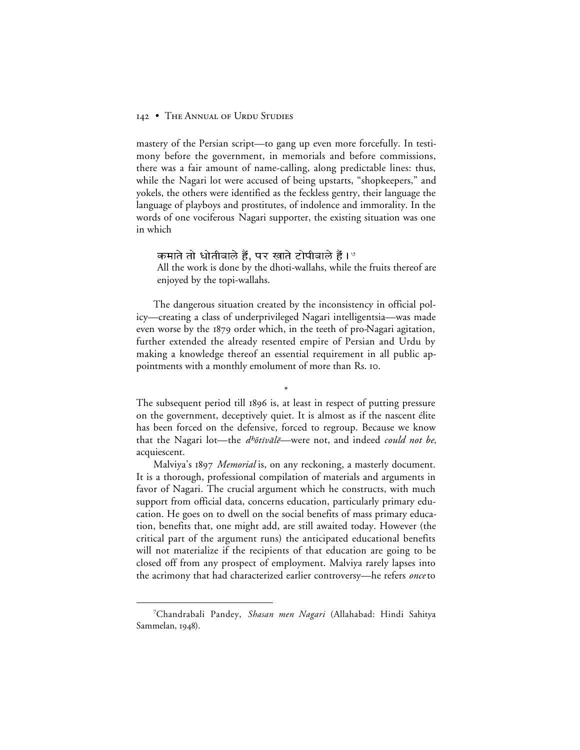mastery of the Persian script—to gang up even more forcefully. In testimony before the government, in memorials and before commissions, there was a fair amount of name-calling, along predictable lines: thus, while the Nagari lot were accused of being upstarts, "shopkeepers," and yokels, the others were identified as the feckless gentry, their language the language of playboys and prostitutes, of indolence and immorality. In the words of one vociferous Nagari supporter, the existing situation was one in which

```
कमाते तो धोतीवाले हैं, पर खाते टोपीवाले हैं। ^\circ
```
All the work is done by the dhoti-wallahs, while the fruits thereof are enjoyed by the topi-wallahs.

The dangerous situation created by the inconsistency in official policy—creating a class of underprivileged Nagari intelligentsia—was made even worse by the 1879 order which, in the teeth of pro-Nagari agitation, further extended the already resented empire of Persian and Urdu by making a knowledge thereof an essential requirement in all public appointments with a monthly emolument of more than Rs. 10.

The subsequent period till 1896 is, at least in respect of putting pressure on the government, deceptively quiet. It is almost as if the nascent élite has been forced on the defensive, forced to regroup. Because we know that the Nagari lot—the *d<sup>h</sup>õtīvālē*—were not, and indeed *could not be*, acquiescent.

\*

Malviya's *Memorial* is, on any reckoning, a masterly document. It is a thorough, professional compilation of materials and arguments in favor of Nagari. The crucial argument which he constructs, with much support from official data, concerns education, particularly primary education. He goes on to dwell on the social benefits of mass primary education, benefits that, one might add, are still awaited today. However (the critical part of the argument runs) the anticipated educational benefits will not materialize if the recipients of that education are going to be closed off from any prospect of employment. Malviya rarely lapses into the acrimony that had characterized earlier controversy—he refers *once* to

 $\frac{1}{7}$ Chandrabali Pandey, *Shasan men Nagari* (Allahabad: Hindi Sahitya Sammelan, 1948).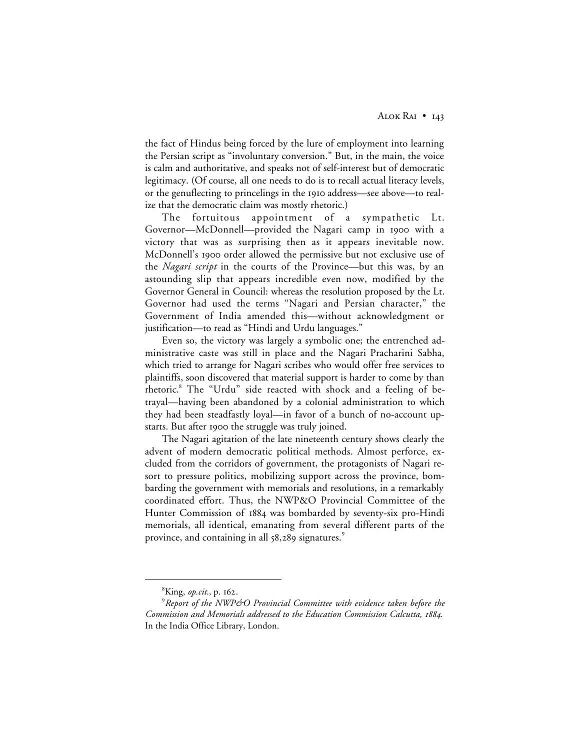the fact of Hindus being forced by the lure of employment into learning the Persian script as "involuntary conversion." But, in the main, the voice is calm and authoritative, and speaks not of self-interest but of democratic legitimacy. (Of course, all one needs to do is to recall actual literacy levels, or the genuflecting to princelings in the 1910 address—see above—to realize that the democratic claim was mostly rhetoric.)

The fortuitous appointment of a sympathetic Lt. Governor—McDonnell—provided the Nagari camp in 1900 with a victory that was as surprising then as it appears inevitable now. McDonnell's 1900 order allowed the permissive but not exclusive use of the *Nagari script* in the courts of the Province—but this was, by an astounding slip that appears incredible even now, modified by the Governor General in Council: whereas the resolution proposed by the Lt. Governor had used the terms "Nagari and Persian character," the Government of India amended this—without acknowledgment or justification—to read as "Hindi and Urdu languages."

Even so, the victory was largely a symbolic one; the entrenched administrative caste was still in place and the Nagari Pracharini Sabha, which tried to arrange for Nagari scribes who would offer free services to plaintiffs, soon discovered that material support is harder to come by than rhetoric.8 The "Urdu" side reacted with shock and a feeling of betrayal—having been abandoned by a colonial administration to which they had been steadfastly loyal—in favor of a bunch of no-account upstarts. But after 1900 the struggle was truly joined.

The Nagari agitation of the late nineteenth century shows clearly the advent of modern democratic political methods. Almost perforce, excluded from the corridors of government, the protagonists of Nagari resort to pressure politics, mobilizing support across the province, bombarding the government with memorials and resolutions, in a remarkably coordinated effort. Thus, the NWP&O Provincial Committee of the Hunter Commission of 1884 was bombarded by seventy-six pro-Hindi memorials, all identical, emanating from several different parts of the province, and containing in all  $58,289$  signatures.<sup>9</sup>

 <sup>8</sup> <sup>8</sup>King, *op.cit.*, p. 162.

<sup>9</sup> *Report of the NWP&O Provincial Committee with evidence taken before the Commission and Memorials addressed to the Education Commission Calcutta, 1884.* In the India Office Library, London.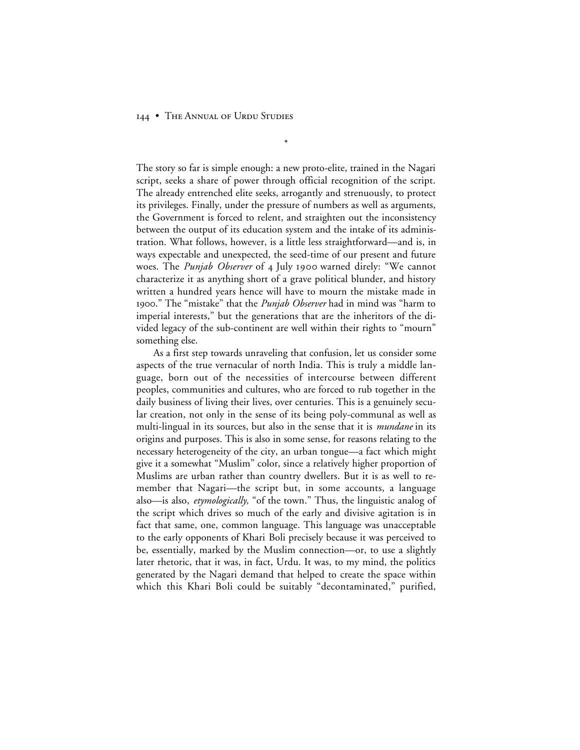The story so far is simple enough: a new proto-elite, trained in the Nagari script, seeks a share of power through official recognition of the script. The already entrenched elite seeks, arrogantly and strenuously, to protect its privileges. Finally, under the pressure of numbers as well as arguments, the Government is forced to relent, and straighten out the inconsistency between the output of its education system and the intake of its administration. What follows, however, is a little less straightforward—and is, in ways expectable and unexpected, the seed-time of our present and future woes. The *Punjab Observer* of 4 July 1900 warned direly: "We cannot characterize it as anything short of a grave political blunder, and history written a hundred years hence will have to mourn the mistake made in ." The "mistake" that the *Punjab Observer* had in mind was "harm to imperial interests," but the generations that are the inheritors of the divided legacy of the sub-continent are well within their rights to "mourn" something else.

\*

As a first step towards unraveling that confusion, let us consider some aspects of the true vernacular of north India. This is truly a middle language, born out of the necessities of intercourse between different peoples, communities and cultures, who are forced to rub together in the daily business of living their lives, over centuries. This is a genuinely secular creation, not only in the sense of its being poly-communal as well as multi-lingual in its sources, but also in the sense that it is *mundane* in its origins and purposes. This is also in some sense, for reasons relating to the necessary heterogeneity of the city, an urban tongue—a fact which might give it a somewhat "Muslim" color, since a relatively higher proportion of Muslims are urban rather than country dwellers. But it is as well to remember that Nagari—the script but, in some accounts, a language also—is also, *etymologically,* "of the town." Thus, the linguistic analog of the script which drives so much of the early and divisive agitation is in fact that same, one, common language. This language was unacceptable to the early opponents of Khari Boli precisely because it was perceived to be, essentially, marked by the Muslim connection—or, to use a slightly later rhetoric, that it was, in fact, Urdu. It was, to my mind, the politics generated by the Nagari demand that helped to create the space within which this Khari Boli could be suitably "decontaminated," purified,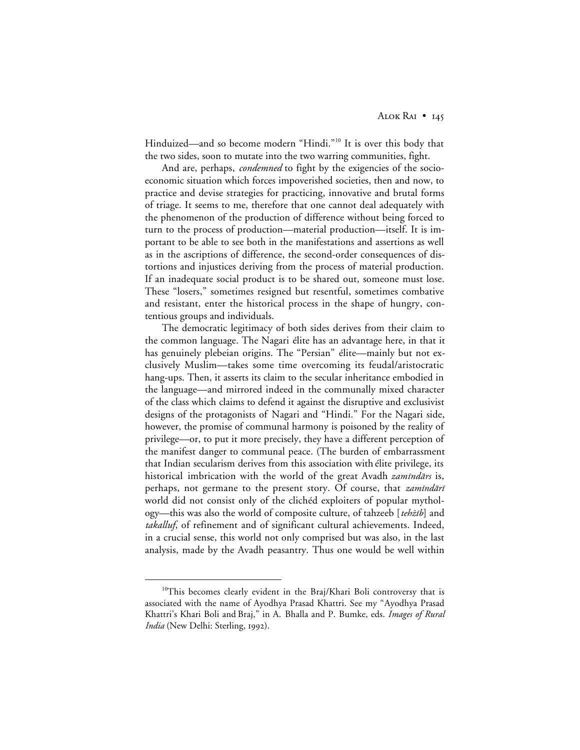ALOK RAI • 145

Hinduized—and so become modern "Hindi."<sup>10</sup> It is over this body that the two sides, soon to mutate into the two warring communities, fight.

And are, perhaps, *condemned* to fight by the exigencies of the socioeconomic situation which forces impoverished societies, then and now, to practice and devise strategies for practicing, innovative and brutal forms of triage. It seems to me, therefore that one cannot deal adequately with the phenomenon of the production of difference without being forced to turn to the process of production—material production—itself. It is important to be able to see both in the manifestations and assertions as well as in the ascriptions of difference, the second-order consequences of distortions and injustices deriving from the process of material production. If an inadequate social product is to be shared out, someone must lose. These "losers," sometimes resigned but resentful, sometimes combative and resistant, enter the historical process in the shape of hungry, contentious groups and individuals.

The democratic legitimacy of both sides derives from their claim to the common language. The Nagari élite has an advantage here, in that it has genuinely plebeian origins. The "Persian" élite—mainly but not exclusively Muslim—takes some time overcoming its feudal/aristocratic hang-ups. Then, it asserts its claim to the secular inheritance embodied in the language—and mirrored indeed in the communally mixed character of the class which claims to defend it against the disruptive and exclusivist designs of the protagonists of Nagari and "Hindi." For the Nagari side, however, the promise of communal harmony is poisoned by the reality of privilege—or, to put it more precisely, they have a different perception of the manifest danger to communal peace. (The burden of embarrassment that Indian secularism derives from this association with élite privilege, its historical imbrication with the world of the great Avadh *zamīndārs* is, perhaps, not germane to the present story. Of course, that *zamindāri* world did not consist only of the clichéd exploiters of popular mythology—this was also the world of composite culture, of tahzeeb [tehzib] and *takalluf*, of refinement and of significant cultural achievements. Indeed, in a crucial sense, this world not only comprised but was also, in the last analysis, made by the Avadh peasantry. Thus one would be well within

<sup>&</sup>lt;sup>10</sup>This becomes clearly evident in the Braj/Khari Boli controversy that is associated with the name of Ayodhya Prasad Khattri. See my "Ayodhya Prasad Khattri's Khari Boli and Braj," in A. Bhalla and P. Bumke, eds. *Images of Rural India* (New Delhi: Sterling, 1992).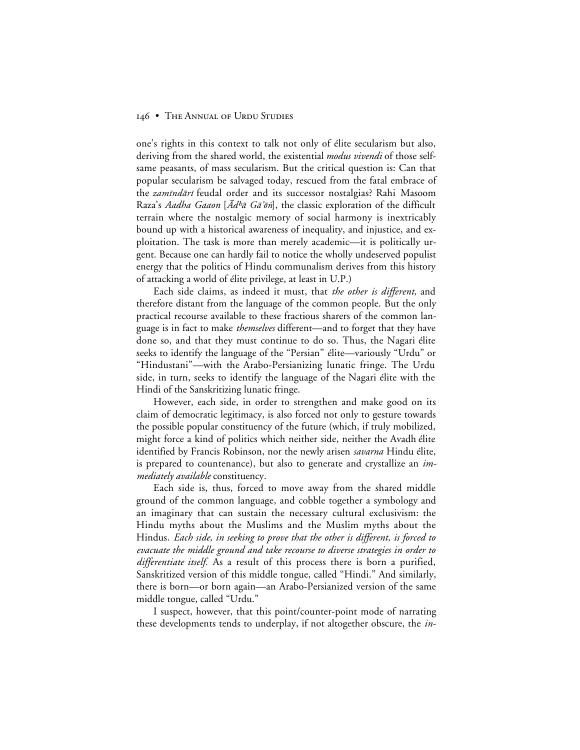one's rights in this context to talk not only of élite secularism but also, deriving from the shared world, the existential *modus vivendi* of those selfsame peasants, of mass secularism. But the critical question is: Can that popular secularism be salvaged today, rescued from the fatal embrace of the *zamīndārī* feudal order and its successor nostalgias? Rahi Masoom Raza's *Aadha Gaaon* [ $\bar{A}$ d<sup>h</sup> $\bar{a}$  G $\bar{a}$ 'õn], the classic exploration of the difficult terrain where the nostalgic memory of social harmony is inextricably bound up with a historical awareness of inequality, and injustice, and exploitation. The task is more than merely academic—it is politically urgent. Because one can hardly fail to notice the wholly undeserved populist energy that the politics of Hindu communalism derives from this history of attacking a world of élite privilege, at least in U.P.)

Each side claims, as indeed it must, that *the other is different,* and therefore distant from the language of the common people. But the only practical recourse available to these fractious sharers of the common language is in fact to make *themselves* different—and to forget that they have done so, and that they must continue to do so. Thus, the Nagari élite seeks to identify the language of the "Persian" élite—variously "Urdu" or "Hindustani"—with the Arabo-Persianizing lunatic fringe. The Urdu side, in turn, seeks to identify the language of the Nagari élite with the Hindi of the Sanskritizing lunatic fringe.

However, each side, in order to strengthen and make good on its claim of democratic legitimacy, is also forced not only to gesture towards the possible popular constituency of the future (which, if truly mobilized, might force a kind of politics which neither side, neither the Avadh élite identified by Francis Robinson, nor the newly arisen *savarna* Hindu élite, is prepared to countenance), but also to generate and crystallize an *immediately available* constituency.

Each side is, thus, forced to move away from the shared middle ground of the common language, and cobble together a symbology and an imaginary that can sustain the necessary cultural exclusivism: the Hindu myths about the Muslims and the Muslim myths about the Hindus. *Each side, in seeking to prove that the other is different, is forced to evacuate the middle ground and take recourse to diverse strategies in order to differentiate itself.* As a result of this process there is born a purified, Sanskritized version of this middle tongue, called "Hindi." And similarly, there is born—or born again—an Arabo-Persianized version of the same middle tongue, called "Urdu."

I suspect, however, that this point/counter-point mode of narrating these developments tends to underplay, if not altogether obscure, the *in-*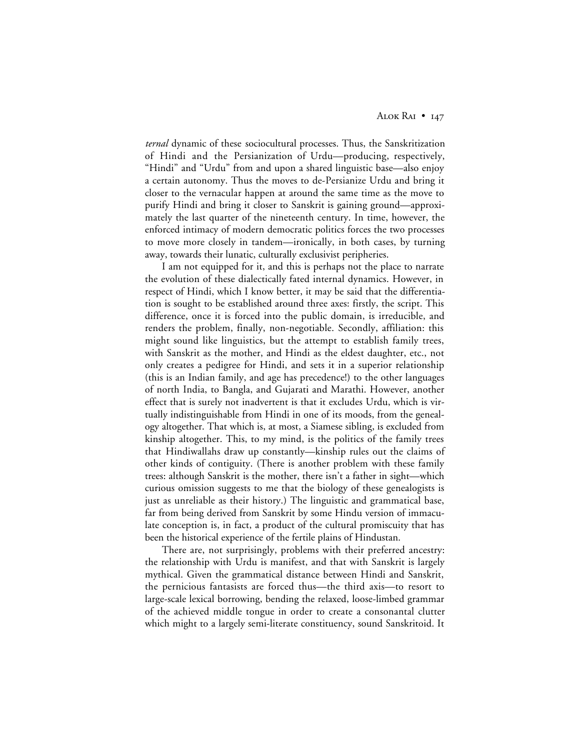*ternal* dynamic of these sociocultural processes. Thus, the Sanskritization of Hindi and the Persianization of Urdu—producing, respectively, "Hindi" and "Urdu" from and upon a shared linguistic base—also enjoy a certain autonomy. Thus the moves to de-Persianize Urdu and bring it closer to the vernacular happen at around the same time as the move to purify Hindi and bring it closer to Sanskrit is gaining ground—approximately the last quarter of the nineteenth century. In time, however, the enforced intimacy of modern democratic politics forces the two processes to move more closely in tandem—ironically, in both cases, by turning away, towards their lunatic, culturally exclusivist peripheries.

I am not equipped for it, and this is perhaps not the place to narrate the evolution of these dialectically fated internal dynamics. However, in respect of Hindi, which I know better, it may be said that the differentiation is sought to be established around three axes: firstly, the script. This difference, once it is forced into the public domain, is irreducible, and renders the problem, finally, non-negotiable. Secondly, affiliation: this might sound like linguistics, but the attempt to establish family trees, with Sanskrit as the mother, and Hindi as the eldest daughter, etc., not only creates a pedigree for Hindi, and sets it in a superior relationship (this is an Indian family, and age has precedence!) to the other languages of north India, to Bangla, and Gujarati and Marathi. However, another effect that is surely not inadvertent is that it excludes Urdu, which is virtually indistinguishable from Hindi in one of its moods, from the genealogy altogether. That which is, at most, a Siamese sibling, is excluded from kinship altogether. This, to my mind, is the politics of the family trees that Hindiwallahs draw up constantly—kinship rules out the claims of other kinds of contiguity. (There is another problem with these family trees: although Sanskrit is the mother, there isn't a father in sight—which curious omission suggests to me that the biology of these genealogists is just as unreliable as their history.) The linguistic and grammatical base, far from being derived from Sanskrit by some Hindu version of immaculate conception is, in fact, a product of the cultural promiscuity that has been the historical experience of the fertile plains of Hindustan.

There are, not surprisingly, problems with their preferred ancestry: the relationship with Urdu is manifest, and that with Sanskrit is largely mythical. Given the grammatical distance between Hindi and Sanskrit, the pernicious fantasists are forced thus—the third axis—to resort to large-scale lexical borrowing, bending the relaxed, loose-limbed grammar of the achieved middle tongue in order to create a consonantal clutter which might to a largely semi-literate constituency, sound Sanskritoid. It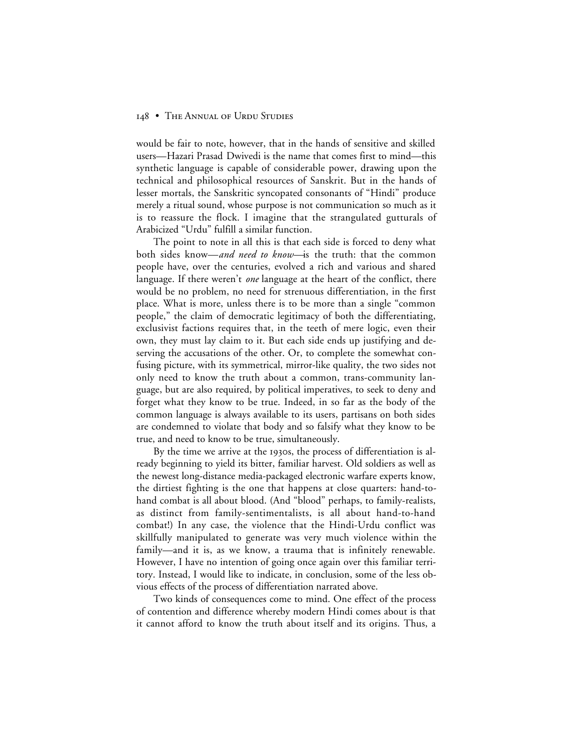would be fair to note, however, that in the hands of sensitive and skilled users—Hazari Prasad Dwivedi is the name that comes first to mind—this synthetic language is capable of considerable power, drawing upon the technical and philosophical resources of Sanskrit. But in the hands of lesser mortals, the Sanskritic syncopated consonants of "Hindi" produce merely a ritual sound, whose purpose is not communication so much as it is to reassure the flock. I imagine that the strangulated gutturals of Arabicized "Urdu" fulfill a similar function.

The point to note in all this is that each side is forced to deny what both sides know—*and need to know—*is the truth: that the common people have, over the centuries, evolved a rich and various and shared language. If there weren't *one* language at the heart of the conflict, there would be no problem, no need for strenuous differentiation, in the first place. What is more, unless there is to be more than a single "common people," the claim of democratic legitimacy of both the differentiating, exclusivist factions requires that, in the teeth of mere logic, even their own, they must lay claim to it. But each side ends up justifying and deserving the accusations of the other. Or, to complete the somewhat confusing picture, with its symmetrical, mirror-like quality, the two sides not only need to know the truth about a common, trans-community language, but are also required, by political imperatives, to seek to deny and forget what they know to be true. Indeed, in so far as the body of the common language is always available to its users, partisans on both sides are condemned to violate that body and so falsify what they know to be true, and need to know to be true, simultaneously.

By the time we arrive at the 1930s, the process of differentiation is already beginning to yield its bitter, familiar harvest. Old soldiers as well as the newest long-distance media-packaged electronic warfare experts know, the dirtiest fighting is the one that happens at close quarters: hand-tohand combat is all about blood. (And "blood" perhaps, to family-realists, as distinct from family-sentimentalists, is all about hand-to-hand combat!) In any case, the violence that the Hindi-Urdu conflict was skillfully manipulated to generate was very much violence within the family—and it is, as we know, a trauma that is infinitely renewable. However, I have no intention of going once again over this familiar territory. Instead, I would like to indicate, in conclusion, some of the less obvious effects of the process of differentiation narrated above.

Two kinds of consequences come to mind. One effect of the process of contention and difference whereby modern Hindi comes about is that it cannot afford to know the truth about itself and its origins. Thus, a